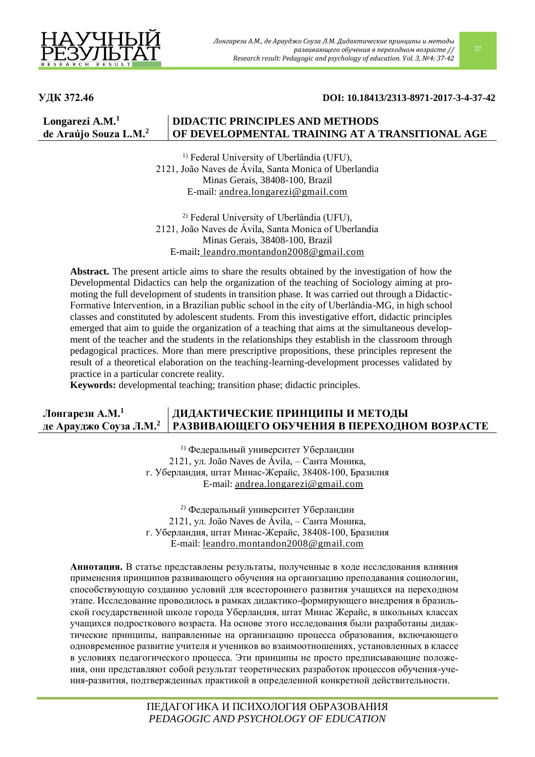

## **УДК 372.46 DOI: 10.18413/2313-8971-2017-3-4-37-42**

#### **Longarezi A.M.<sup>1</sup> de Araújo Souza L.M.<sup>2</sup> DIDACTIC PRINCIPLES AND METHODS OF DEVELOPMENTAL TRAINING AT A TRANSITIONAL AGE**

<sup>1)</sup> Federal University of Uberlândia (UFU), 2121, João Naves de Ávila, Santa Monica of Uberlandia Minas Gerais, 38408-100, Brazil E-mail: [andrea.longarezi@gmail.com](mailto:andrea.longarezi@gmail.com)

2) Federal University of Uberlândia (UFU), 2121, João Naves de Ávila, Santa Monica of Uberlandia Minas Gerais, 38408-100, Brazil E-mail**:** [leandro.montandon2008@gmail.com](mailto:leandro.montandon2008@gmail.com)

**Abstract.** The present article aims to share the results obtained by the investigation of how the Developmental Didactics can help the organization of the teaching of Sociology aiming at promoting the full development of students in transition phase. It was carried out through a Didactic-Formative Intervention, in a Brazilian public school in the city of Uberlândia-MG, in high school classes and constituted by adolescent students. From this investigative effort, didactic principles emerged that aim to guide the organization of a teaching that aims at the simultaneous development of the teacher and the students in the relationships they establish in the classroom through pedagogical practices. More than mere prescriptive propositions, these principles represent the result of a theoretical elaboration on the teaching-learning-development processes validated by practice in a particular concrete reality.

**Keywords:** developmental teaching; transition phase; didactic principles.

#### **Лонгарези А.М.<sup>1</sup> де Арауджо Соуза Л.М.<sup>2</sup> ДИДАКТИЧЕСКИЕ ПРИНЦИПЫ И МЕТОДЫ РАЗВИВАЮЩЕГО ОБУЧЕНИЯ В ПЕРЕХОДНОМ ВОЗРАСТЕ**

1) Федеральный университет Уберландии 2121, ул. João Naves de Ávila, – Санта Моника, г. Уберландия, штат Минас-Жерайс, 38408-100, Бразилия E-mail: [andrea.longarezi@gmail.com](mailto:andrea.longarezi@gmail.com)

2) Федеральный университет Уберландии 2121, ул. João Naves de Ávila, – Санта Моника, г. Уберландия, штат Минас-Жерайс, 38408-100, Бразилия E-mail: [leandro.montandon2008@gmail.com](mailto:leandro.montandon2008@gmail.com)

**Аннотация.** В статье представлены результаты, полученные в ходе исследования влияния применения принципов развивающего обучения на организацию преподавания социологии, способствующую созданию условий для всестороннего развития учащихся на переходном этапе. Исследование проводилось в рамках дидактико-формирующего внедрения в бразильской государственной школе города Уберландия, штат Минас Жерайс, в школьных классах учащихся подросткового возраста. На основе этого исследования были разработаны дидактические принципы, направленные на организацию процесса образования, включающего одновременное развитие учителя и учеников во взаимоотношениях, установленных в классе в условиях педагогического процесса. Эти принципы не просто предписывающие положения, они представляют собой результат теоретических разработок процессов обучения-учения-развития, подтвержденных практикой в определенной конкретной действительности.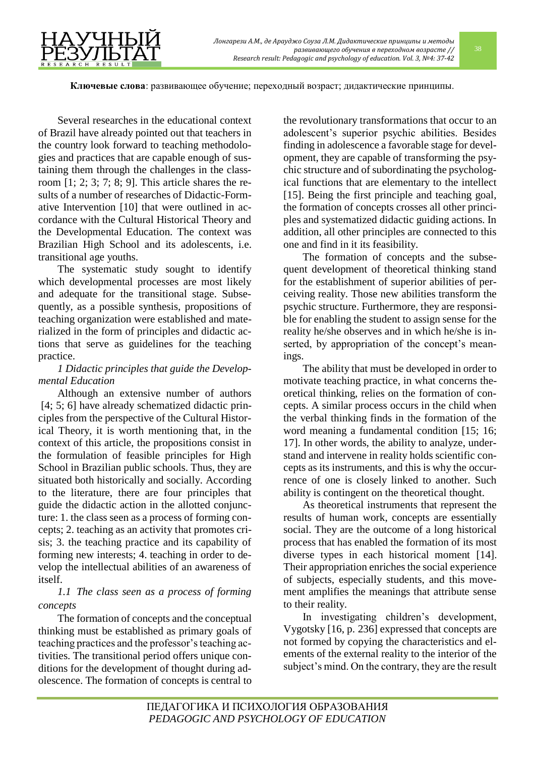**Ключевые слова**: развивающее обучение; переходный возраст; дидактические принципы.

Several researches in the educational context of Brazil have already pointed out that teachers in the country look forward to teaching methodologies and practices that are capable enough of sustaining them through the challenges in the classroom [1; 2; 3; 7; 8; 9]. This article shares the results of a number of researches of Didactic-Formative Intervention [10] that were outlined in accordance with the Cultural Historical Theory and the Developmental Education. The context was Brazilian High School and its adolescents, i.e. transitional age youths.

The systematic study sought to identify which developmental processes are most likely and adequate for the transitional stage. Subsequently, as a possible synthesis, propositions of teaching organization were established and materialized in the form of principles and didactic actions that serve as guidelines for the teaching practice.

## *1 Didactic principles that guide the Developmental Education*

Although an extensive number of authors [4; 5; 6] have already schematized didactic principles from the perspective of the Cultural Historical Theory, it is worth mentioning that, in the context of this article, the propositions consist in the formulation of feasible principles for High School in Brazilian public schools. Thus, they are situated both historically and socially. According to the literature, there are four principles that guide the didactic action in the allotted conjuncture: 1. the class seen as a process of forming concepts; 2. teaching as an activity that promotes crisis; 3. the teaching practice and its capability of forming new interests; 4. teaching in order to develop the intellectual abilities of an awareness of itself.

## *1.1 The class seen as a process of forming concepts*

The formation of concepts and the conceptual thinking must be established as primary goals of teaching practices and the professor's teaching activities. The transitional period offers unique conditions for the development of thought during adolescence. The formation of concepts is central to

the revolutionary transformations that occur to an adolescent's superior psychic abilities. Besides finding in adolescence a favorable stage for development, they are capable of transforming the psychic structure and of subordinating the psychological functions that are elementary to the intellect [15]. Being the first principle and teaching goal, the formation of concepts crosses all other principles and systematized didactic guiding actions. In addition, all other principles are connected to this one and find in it its feasibility.

The formation of concepts and the subsequent development of theoretical thinking stand for the establishment of superior abilities of perceiving reality. Those new abilities transform the psychic structure. Furthermore, they are responsible for enabling the student to assign sense for the reality he/she observes and in which he/she is inserted, by appropriation of the concept's meanings.

The ability that must be developed in order to motivate teaching practice, in what concerns theoretical thinking, relies on the formation of concepts. A similar process occurs in the child when the verbal thinking finds in the formation of the word meaning a fundamental condition [15; 16; 17]. In other words, the ability to analyze, understand and intervene in reality holds scientific concepts as its instruments, and this is why the occurrence of one is closely linked to another. Such ability is contingent on the theoretical thought.

As theoretical instruments that represent the results of human work, concepts are essentially social. They are the outcome of a long historical process that has enabled the formation of its most diverse types in each historical moment [14]. Their appropriation enriches the social experience of subjects, especially students, and this movement amplifies the meanings that attribute sense to their reality.

In investigating children's development, Vygotsky [16, p. 236] expressed that concepts are not formed by copying the characteristics and elements of the external reality to the interior of the subject's mind. On the contrary, they are the result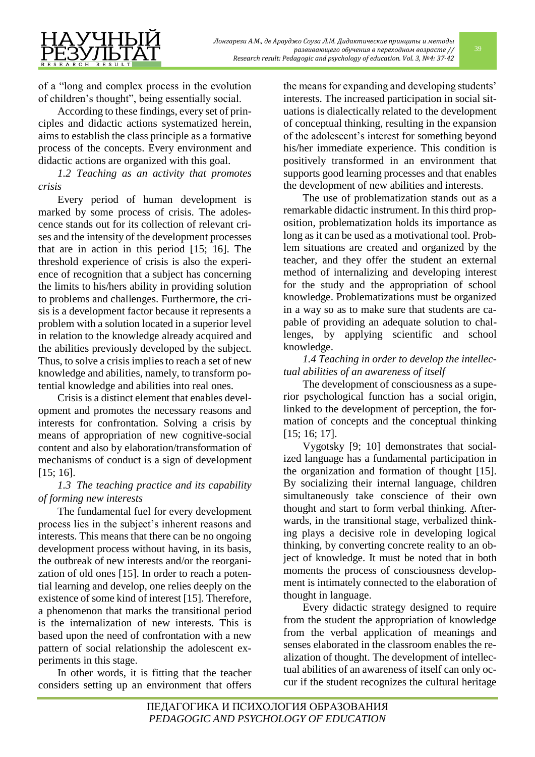of a "long and complex process in the evolution of children's thought", being essentially social.

According to these findings, every set of principles and didactic actions systematized herein, aims to establish the class principle as a formative process of the concepts. Every environment and didactic actions are organized with this goal.

*1.2 Teaching as an activity that promotes crisis*

Every period of human development is marked by some process of crisis. The adolescence stands out for its collection of relevant crises and the intensity of the development processes that are in action in this period [15; 16]. The threshold experience of crisis is also the experience of recognition that a subject has concerning the limits to his/hers ability in providing solution to problems and challenges. Furthermore, the crisis is a development factor because it represents a problem with a solution located in a superior level in relation to the knowledge already acquired and the abilities previously developed by the subject. Thus, to solve a crisis implies to reach a set of new knowledge and abilities, namely, to transform potential knowledge and abilities into real ones.

Crisis is a distinct element that enables development and promotes the necessary reasons and interests for confrontation. Solving a crisis by means of appropriation of new cognitive-social content and also by elaboration/transformation of mechanisms of conduct is a sign of development [15; 16].

# *1.3 The teaching practice and its capability of forming new interests*

The fundamental fuel for every development process lies in the subject's inherent reasons and interests. This means that there can be no ongoing development process without having, in its basis, the outbreak of new interests and/or the reorganization of old ones [15]. In order to reach a potential learning and develop, one relies deeply on the existence of some kind of interest [15]. Therefore, a phenomenon that marks the transitional period is the internalization of new interests. This is based upon the need of confrontation with a new pattern of social relationship the adolescent experiments in this stage.

In other words, it is fitting that the teacher considers setting up an environment that offers the means for expanding and developing students' interests. The increased participation in social situations is dialectically related to the development of conceptual thinking, resulting in the expansion of the adolescent's interest for something beyond his/her immediate experience. This condition is positively transformed in an environment that supports good learning processes and that enables the development of new abilities and interests.

The use of problematization stands out as a remarkable didactic instrument. In this third proposition, problematization holds its importance as long as it can be used as a motivational tool. Problem situations are created and organized by the teacher, and they offer the student an external method of internalizing and developing interest for the study and the appropriation of school knowledge. Problematizations must be organized in a way so as to make sure that students are capable of providing an adequate solution to challenges, by applying scientific and school knowledge.

# *1.4 Teaching in order to develop the intellectual abilities of an awareness of itself*

The development of consciousness as a superior psychological function has a social origin, linked to the development of perception, the formation of concepts and the conceptual thinking [15; 16; 17].

Vygotsky [9; 10] demonstrates that socialized language has a fundamental participation in the organization and formation of thought [15]. By socializing their internal language, children simultaneously take conscience of their own thought and start to form verbal thinking. Afterwards, in the transitional stage, verbalized thinking plays a decisive role in developing logical thinking, by converting concrete reality to an object of knowledge. It must be noted that in both moments the process of consciousness development is intimately connected to the elaboration of thought in language.

Every didactic strategy designed to require from the student the appropriation of knowledge from the verbal application of meanings and senses elaborated in the classroom enables the realization of thought. The development of intellectual abilities of an awareness of itself can only occur if the student recognizes the cultural heritage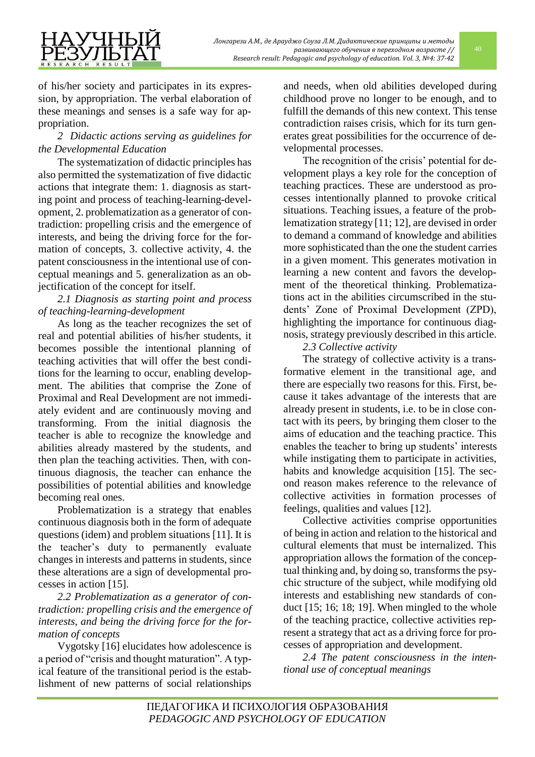

of his/her society and participates in its expression, by appropriation. The verbal elaboration of these meanings and senses is a safe way for appropriation.

# *2 Didactic actions serving as guidelines for the Developmental Education*

The systematization of didactic principles has also permitted the systematization of five didactic actions that integrate them: 1. diagnosis as starting point and process of teaching-learning-development, 2. problematization as a generator of contradiction: propelling crisis and the emergence of interests, and being the driving force for the formation of concepts, 3. collective activity, 4. the patent consciousness in the intentional use of conceptual meanings and 5. generalization as an objectification of the concept for itself.

## *2.1 Diagnosis as starting point and process of teaching-learning-development*

As long as the teacher recognizes the set of real and potential abilities of his/her students, it becomes possible the intentional planning of teaching activities that will offer the best conditions for the learning to occur, enabling development. The abilities that comprise the Zone of Proximal and Real Development are not immediately evident and are continuously moving and transforming. From the initial diagnosis the teacher is able to recognize the knowledge and abilities already mastered by the students, and then plan the teaching activities. Then, with continuous diagnosis, the teacher can enhance the possibilities of potential abilities and knowledge becoming real ones.

Problematization is a strategy that enables continuous diagnosis both in the form of adequate questions (idem) and problem situations [11]. It is the teacher's duty to permanently evaluate changes in interests and patterns in students, since these alterations are a sign of developmental processes in action [15].

*2.2 Problematization as a generator of contradiction: propelling crisis and the emergence of interests, and being the driving force for the formation of concepts*

Vygotsky [16] elucidates how adolescence is a period of "crisis and thought maturation". A typical feature of the transitional period is the establishment of new patterns of social relationships

and needs, when old abilities developed during childhood prove no longer to be enough, and to fulfill the demands of this new context. This tense contradiction raises crisis, which for its turn generates great possibilities for the occurrence of developmental processes.

The recognition of the crisis' potential for development plays a key role for the conception of teaching practices. These are understood as processes intentionally planned to provoke critical situations. Teaching issues, a feature of the problematization strategy [11; 12], are devised in order to demand a command of knowledge and abilities more sophisticated than the one the student carries in a given moment. This generates motivation in learning a new content and favors the development of the theoretical thinking. Problematizations act in the abilities circumscribed in the students' Zone of Proximal Development (ZPD), highlighting the importance for continuous diagnosis, strategy previously described in this article.

*2.3 Collective activity*

The strategy of collective activity is a transformative element in the transitional age, and there are especially two reasons for this. First, because it takes advantage of the interests that are already present in students, i.e. to be in close contact with its peers, by bringing them closer to the aims of education and the teaching practice. This enables the teacher to bring up students' interests while instigating them to participate in activities, habits and knowledge acquisition [15]. The second reason makes reference to the relevance of collective activities in formation processes of feelings, qualities and values [12].

Collective activities comprise opportunities of being in action and relation to the historical and cultural elements that must be internalized. This appropriation allows the formation of the conceptual thinking and, by doing so, transforms the psychic structure of the subject, while modifying old interests and establishing new standards of conduct [15; 16; 18; 19]. When mingled to the whole of the teaching practice, collective activities represent a strategy that act as a driving force for processes of appropriation and development.

*2.4 The patent consciousness in the intentional use of conceptual meanings*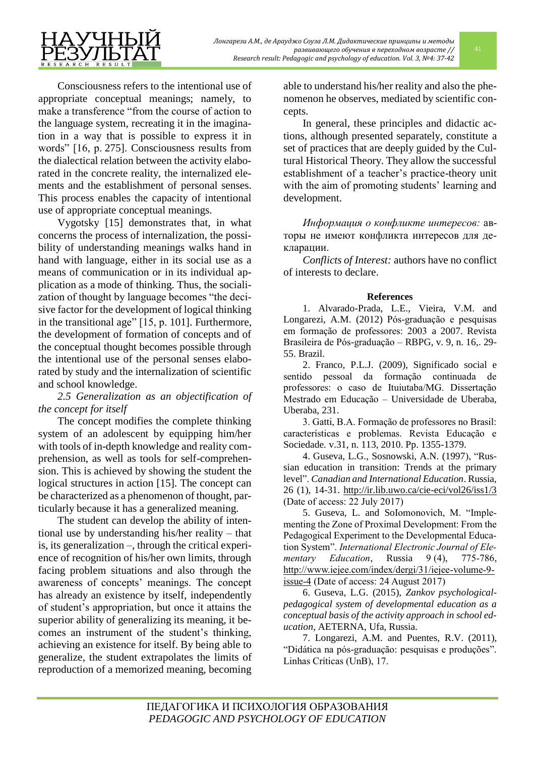Consciousness refers to the intentional use of appropriate conceptual meanings; namely, to make a transference "from the course of action to the language system, recreating it in the imagination in a way that is possible to express it in words" [16, p. 275]. Consciousness results from the dialectical relation between the activity elaborated in the concrete reality, the internalized elements and the establishment of personal senses. This process enables the capacity of intentional use of appropriate conceptual meanings.

Vygotsky [15] demonstrates that, in what concerns the process of internalization, the possibility of understanding meanings walks hand in hand with language, either in its social use as a means of communication or in its individual application as a mode of thinking. Thus, the socialization of thought by language becomes "the decisive factor for the development of logical thinking in the transitional age" [15, p. 101]. Furthermore, the development of formation of concepts and of the conceptual thought becomes possible through the intentional use of the personal senses elaborated by study and the internalization of scientific and school knowledge.

*2.5 Generalization as an objectification of the concept for itself*

The concept modifies the complete thinking system of an adolescent by equipping him/her with tools of in-depth knowledge and reality comprehension, as well as tools for self-comprehension. This is achieved by showing the student the logical structures in action [15]. The concept can be characterized as a phenomenon of thought, particularly because it has a generalized meaning.

The student can develop the ability of intentional use by understanding his/her reality – that is, its generalization –, through the critical experience of recognition of his/her own limits, through facing problem situations and also through the awareness of concepts' meanings. The concept has already an existence by itself, independently of student's appropriation, but once it attains the superior ability of generalizing its meaning, it becomes an instrument of the student's thinking, achieving an existence for itself. By being able to generalize, the student extrapolates the limits of reproduction of a memorized meaning, becoming

able to understand his/her reality and also the phenomenon he observes, mediated by scientific concepts.

In general, these principles and didactic actions, although presented separately, constitute a set of practices that are deeply guided by the Cultural Historical Theory. They allow the successful establishment of a teacher's practice-theory unit with the aim of promoting students' learning and development.

*Информация о конфликте интересов:* авторы не имеют конфликта интересов для декларации.

*Conflicts of Interest:* authors have no conflict of interests to declare.

## **References**

1. Alvarado-Prada, L.E., Vieira, V.M. and Longarezi, A.M. (2012) Pós-graduação e pesquisas em formação de professores: 2003 a 2007. Revista Brasileira de Pós-graduação – RBPG, v. 9, n. 16,. 29- 55. Brazil.

2. Franco, P.L.J. (2009), Significado social e sentido pessoal da formação continuada de professores: o caso de Ituiutaba/MG. Dissertação Mestrado em Educação – Universidade de Uberaba, Uberaba, 231.

3. Gatti, B.A. Formação de professores no Brasil: características e problemas. Revista Educação e Sociedade*.* v.31, n. 113, 2010. Pp. 1355-1379.

4. Guseva, L.G., Sosnowski, A.N. (1997), "Russian education in transition: Trends at the primary level". *Canadian and International Education*. Russia, 26 (1), 14-31.<http://ir.lib.uwo.ca/cie-eci/vol26/iss1/3> (Date of access: 22 July 2017)

5. Guseva, L. and SoIomonovich, M. "Implementing the Zone of Proximal Development: From the Pedagogical Experiment to the Developmental Education System". *International Electronic Journal of Ele*mentary Education, Russia 9(4), 775-786, [http://www.iejee.com/index/dergi/31/iejee-volume-9](http://www.iejee.com/index/dergi/31/iejee-volume-9-issue-4) [issue-4](http://www.iejee.com/index/dergi/31/iejee-volume-9-issue-4) (Date of access: 24 August 2017)

6. Guseva, L.G. (2015), *Zankov psychologicalpedagogical system of developmental education as a conceptual basis of the activity approach in school education,* AETERNA, Ufa, Russia.

7. Longarezi, A.M. and Puentes, R.V. (2011), "Didática na pós-graduação: pesquisas e produções". Linhas Críticas (UnB), 17.